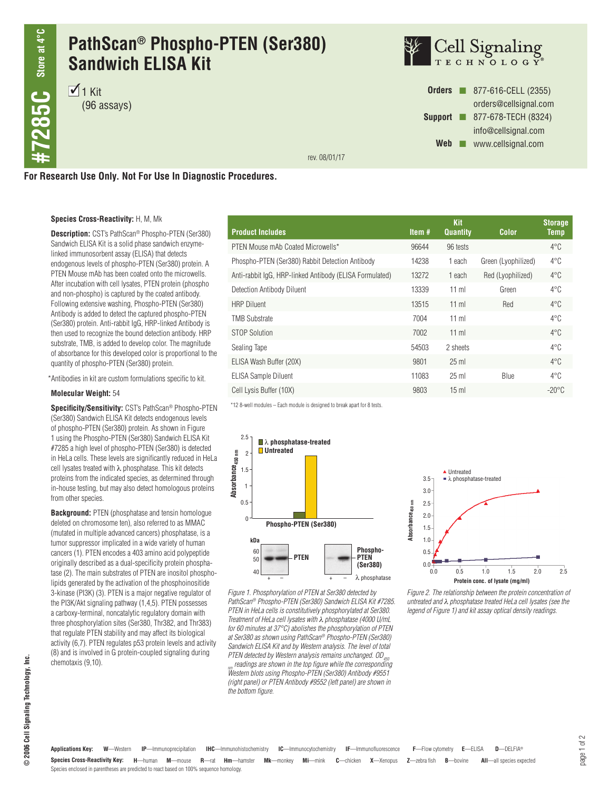# **PathScan® Phospho-PTEN (Ser380) Sandwich ELISA Kit**

 $\mathcal{I}_1$  Kit (96 assays)



**Orders n** 877-616-CELL (2355) orders@cellsignal.com **Support n** 877-678-TECH (8324) info@cellsignal.com Web **www.cellsignal.com** 

rev. 08/01/17

## **For Research Use Only. Not For Use In Diagnostic Procedures.**

### **Species Cross-Reactivity:** H, M, Mk

**Description:** CST's PathScan® Phospho-PTEN (Ser380) Sandwich ELISA Kit is a solid phase sandwich enzymelinked immunosorbent assay (ELISA) that detects endogenous levels of phospho-PTEN (Ser380) protein. A PTEN Mouse mAb has been coated onto the microwells. After incubation with cell lysates, PTEN protein (phospho and non-phospho) is captured by the coated antibody. Following extensive washing, Phospho-PTEN (Ser380) Antibody is added to detect the captured phospho-PTEN (Ser380) protein. Anti-rabbit IgG, HRP-linked Antibody is then used to recognize the bound detection antibody. HRP substrate, TMB, is added to develop color. The magnitude of absorbance for this developed color is proportional to the quantity of phospho-PTEN (Ser380) protein.

\*Antibodies in kit are custom formulations specific to kit.

#### **Molecular Weight:** 54

**Specificity/Sensitivity:** CST's PathScan® Phospho-PTEN (Ser380) Sandwich ELISA Kit detects endogenous levels of phospho-PTEN (Ser380) protein. As shown in Figure 1 using the Phospho-PTEN (Ser380) Sandwich ELISA Kit #7285 a high level of phospho-PTEN (Ser380) is detected in HeLa cells. These levels are significantly reduced in HeLa cell lysates treated with λ phosphatase. This kit detects proteins from the indicated species, as determined through in-house testing, but may also detect homologous proteins from other species.

**Background:** PTEN (phosphatase and tensin homologue deleted on chromosome ten), also referred to as MMAC (mutated in multiple advanced cancers) phosphatase, is a tumor suppressor implicated in a wide variety of human cancers (1). PTEN encodes a 403 amino acid polypeptide originally described as a dual-specificity protein phosphatase (2). The main substrates of PTEN are inositol phospholipids generated by the activation of the phosphoinositide 3-kinase (PI3K) (3). PTEN is a major negative regulator of the PI3K/Akt signaling pathway (1,4,5). PTEN possesses a carboxy-terminal, noncatalytic regulatory domain with three phosphorylation sites (Ser380, Thr382, and Thr383) that regulate PTEN stability and may affect its biological activity (6,7). PTEN regulates p53 protein levels and activity (8) and is involved in G protein-coupled signaling during chemotaxis (9,10).

| <b>Product Includes</b>                                 | Item $#$ | <b>Kit</b><br><b>Quantity</b> | Color               | <b>Storage</b><br>Temp |
|---------------------------------------------------------|----------|-------------------------------|---------------------|------------------------|
| PTEN Mouse mAb Coated Microwells*                       | 96644    | 96 tests                      |                     | $4^{\circ}$ C          |
| Phospho-PTEN (Ser380) Rabbit Detection Antibody         | 14238    | 1 each                        | Green (Lyophilized) | $4^{\circ}$ C          |
| Anti-rabbit IqG, HRP-linked Antibody (ELISA Formulated) | 13272    | 1 each                        | Red (Lyophilized)   | $4^{\circ}$ C          |
| Detection Antibody Diluent                              | 13339    | $11$ ml                       | Green               | $4^{\circ}$ C          |
| <b>HRP Diluent</b>                                      | 13515    | $11$ ml                       | Red                 | $4^{\circ}$ C          |
| <b>TMB Substrate</b>                                    | 7004     | $11$ ml                       |                     | $4^{\circ}$ C          |
| STOP Solution                                           | 7002     | $11$ ml                       |                     | $4^{\circ}$ C          |
| Sealing Tape                                            | 54503    | 2 sheets                      |                     | $4^{\circ}$ C          |
| ELISA Wash Buffer (20X)                                 | 9801     | $25$ ml                       |                     | $4^{\circ}$ C          |
| <b>ELISA Sample Diluent</b>                             | 11083    | $25$ ml                       | Blue                | $4^{\circ}$ C          |
| Cell Lysis Buffer (10X)                                 | 9803     | $15 \text{ ml}$               |                     | $-20^{\circ}$ C        |

\*12 8-well modules – Each module is designed to break apart for 8 tests.



*Figure 1. Phosphorylation of PTEN at Ser380 detected by PathScan® Phospho-PTEN (Ser380) Sandwich ELISA Kit #7285. PTEN in HeLa cells is constitutively phosphorylated at Ser380. Treatment of HeLa cell lysates with* λ *phosphatase (4000 U/mL for 60 minutes at 37°C) abolishes the phosphorylation of PTEN at Ser380 as shown using PathScan® Phospho-PTEN (Ser380) Sandwich ELISA Kit and by Western analysis. The level of total PTEN detected by Western analysis remains unchanged. OD450* 

*readings are shown in the top figure while the corresponding Western blots using Phospho-PTEN (Ser380) Antibody #9551 (right panel) or PTEN Antibody #9552 (left panel) are shown in the bottom figure.*



*Figure 2. The relationship between the protein concentration of untreated and* λ *phosphatase treated HeLa cell lysates (see the legend of Figure 1) and kit assay optical density readings.*